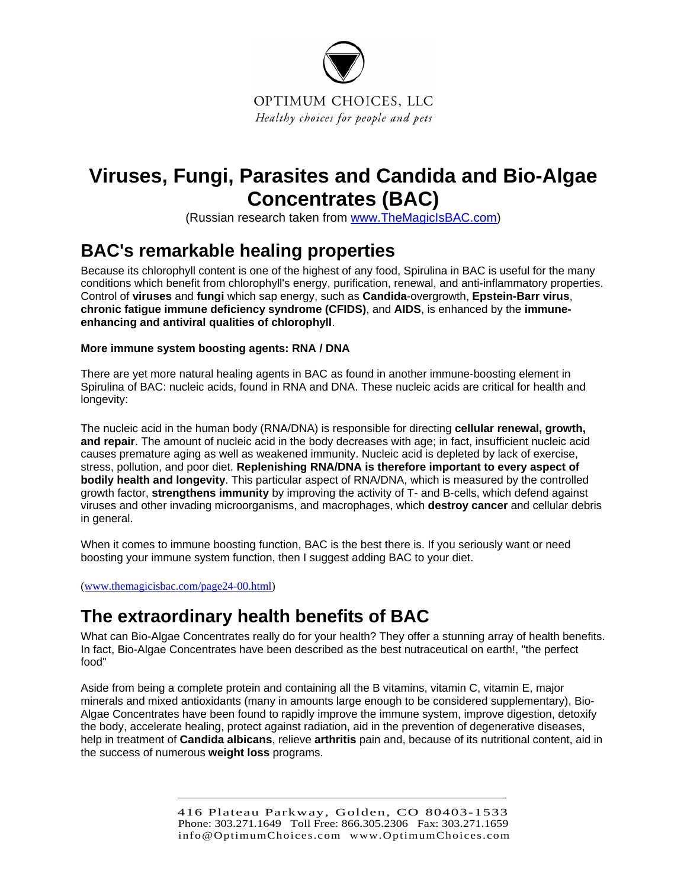

# **Viruses, Fungi, Parasites and Candida and Bio-Algae Concentrates (BAC)**

(Russian research taken from [www.TheMagicIsBAC.com\)](http://www.themagicisbac.com/)

### **BAC's remarkable healing properties**

Because its chlorophyll content is one of the highest of any food, Spirulina in BAC is useful for the many conditions which benefit from chlorophyll's energy, purification, renewal, and anti-inflammatory properties. Control of **viruses** and **fungi** which sap energy, such as **Candida**-overgrowth, **Epstein-Barr virus**, **chronic fatigue immune deficiency syndrome (CFIDS)**, and **AIDS**, is enhanced by the **immuneenhancing and antiviral qualities of chlorophyll**.

### **More immune system boosting agents: RNA / DNA**

There are yet more natural healing agents in BAC as found in another immune-boosting element in Spirulina of BAC: nucleic acids, found in RNA and DNA. These nucleic acids are critical for health and longevity:

The nucleic acid in the human body (RNA/DNA) is responsible for directing **cellular renewal, growth, and repair**. The amount of nucleic acid in the body decreases with age; in fact, insufficient nucleic acid causes premature aging as well as weakened immunity. Nucleic acid is depleted by lack of exercise, stress, pollution, and poor diet. **Replenishing RNA/DNA is therefore important to every aspect of bodily health and longevity**. This particular aspect of RNA/DNA, which is measured by the controlled growth factor, **strengthens immunity** by improving the activity of T- and B-cells, which defend against viruses and other invading microorganisms, and macrophages, which **destroy cancer** and cellular debris in general.

When it comes to immune boosting function, BAC is the best there is. If you seriously want or need boosting your immune system function, then I suggest adding BAC to your diet.

[\(www.themagicisbac.com/page24-00.html](http://www.themagicisbac.com/page24-00.html))

# **The extraordinary health benefits of BAC**

What can Bio-Algae Concentrates really do for your health? They offer a stunning array of health benefits. In fact, Bio-Algae Concentrates have been described as the best nutraceutical on earth!, "the perfect food"

Aside from being a complete protein and containing all the B vitamins, vitamin C, vitamin E, major minerals and mixed antioxidants (many in amounts large enough to be considered supplementary), Bio-Algae Concentrates have been found to rapidly improve the immune system, improve digestion, detoxify the body, accelerate healing, protect against radiation, aid in the prevention of degenerative diseases, help in treatment of **Candida albicans**, relieve **arthritis** pain and, because of its nutritional content, aid in the success of numerous **weight loss** programs.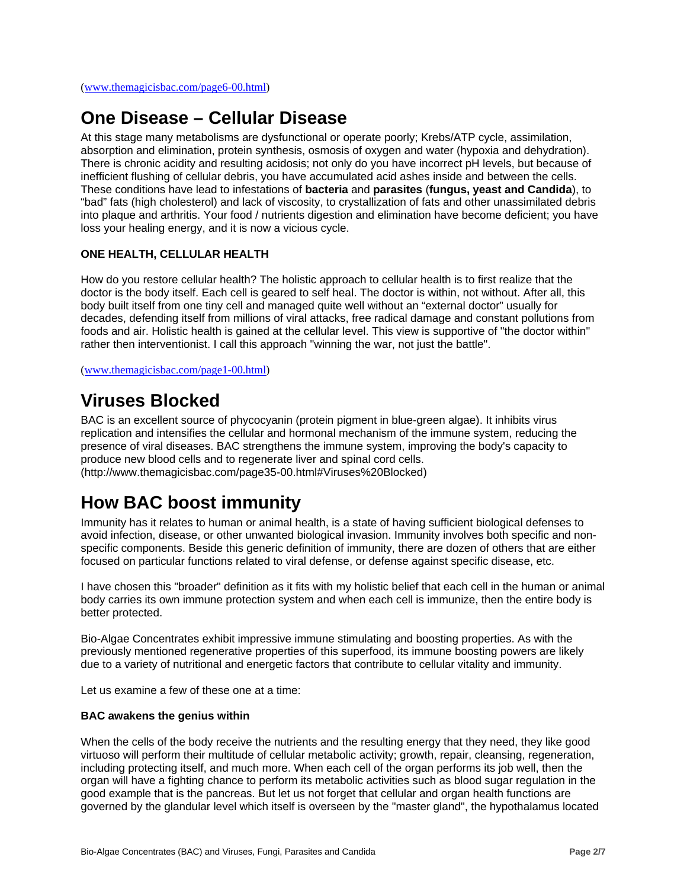# **One Disease – Cellular Disease**

At this stage many metabolisms are dysfunctional or operate poorly; Krebs/ATP cycle, assimilation, absorption and elimination, protein synthesis, osmosis of oxygen and water (hypoxia and dehydration). There is chronic acidity and resulting acidosis; not only do you have incorrect pH levels, but because of inefficient flushing of cellular debris, you have accumulated acid ashes inside and between the cells. These conditions have lead to infestations of **bacteria** and **parasites** (**fungus, yeast and Candida**), to "bad" fats (high cholesterol) and lack of viscosity, to crystallization of fats and other unassimilated debris into plaque and arthritis. Your food / nutrients digestion and elimination have become deficient; you have loss your healing energy, and it is now a vicious cycle.

### **ONE HEALTH, CELLULAR HEALTH**

How do you restore cellular health? The holistic approach to cellular health is to first realize that the doctor is the body itself. Each cell is geared to self heal. The doctor is within, not without. After all, this body built itself from one tiny cell and managed quite well without an "external doctor" usually for decades, defending itself from millions of viral attacks, free radical damage and constant pollutions from foods and air. Holistic health is gained at the cellular level. This view is supportive of "the doctor within" rather then interventionist. I call this approach "winning the war, not just the battle".

[\(www.themagicisbac.com/page1-00.html](http://www.themagicisbac.com/page1-00.html))

### **[Viruses Blocked](http://www.themagicisbac.com/page35-00.html#menu#menu)**

BAC is an excellent source of phycocyanin (protein pigment in blue-green algae). It inhibits virus replication and intensifies the cellular and hormonal mechanism of the immune system, reducing the presence of viral diseases. BAC strengthens the immune system, improving the body's capacity to produce new blood cells and to regenerate liver and spinal cord cells. (http://www.themagicisbac.com/page35-00.html#Viruses%20Blocked)

### **How BAC boost immunity**

Immunity has it relates to human or animal health, is a state of having sufficient biological defenses to avoid infection, disease, or other unwanted biological invasion. Immunity involves both specific and nonspecific components. Beside this generic definition of immunity, there are dozen of others that are either focused on particular functions related to viral defense, or defense against specific disease, etc.

I have chosen this "broader" definition as it fits with my holistic belief that each cell in the human or animal body carries its own immune protection system and when each cell is immunize, then the entire body is better protected.

Bio-Algae Concentrates exhibit impressive immune stimulating and boosting properties. As with the previously mentioned regenerative properties of this superfood, its immune boosting powers are likely due to a variety of nutritional and energetic factors that contribute to cellular vitality and immunity.

Let us examine a few of these one at a time:

#### **BAC awakens the genius within**

When the cells of the body receive the nutrients and the resulting energy that they need, they like good virtuoso will perform their multitude of cellular metabolic activity; growth, repair, cleansing, regeneration, including protecting itself, and much more. When each cell of the organ performs its job well, then the organ will have a fighting chance to perform its metabolic activities such as blood sugar regulation in the good example that is the pancreas. But let us not forget that cellular and organ health functions are governed by the glandular level which itself is overseen by the "master gland", the hypothalamus located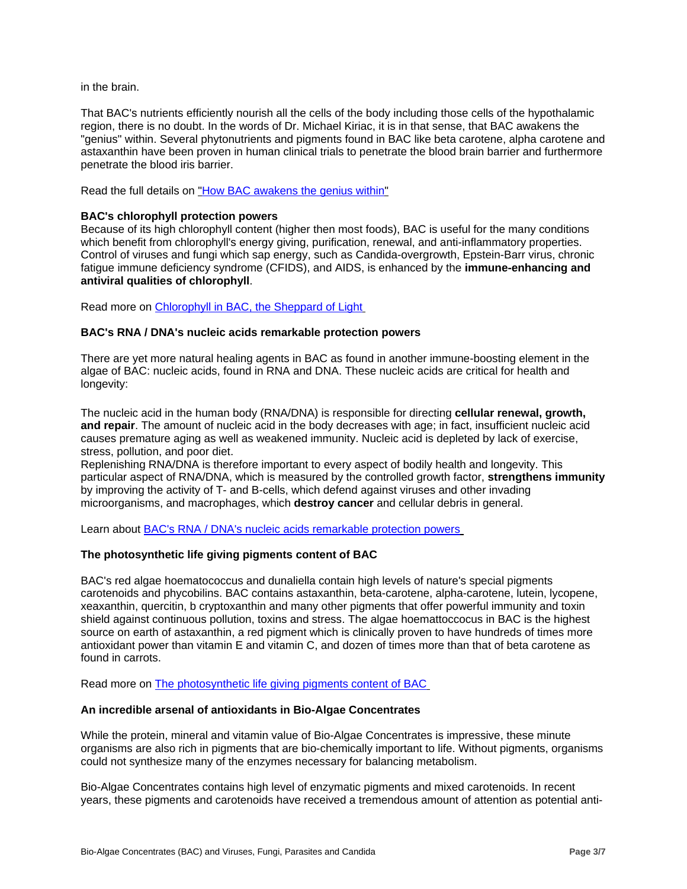in the brain.

That BAC's nutrients efficiently nourish all the cells of the body including those cells of the hypothalamic region, there is no doubt. In the words of Dr. Michael Kiriac, it is in that sense, that BAC awakens the "genius" within. Several phytonutrients and pigments found in BAC like beta carotene, alpha carotene and astaxanthin have been proven in human clinical trials to penetrate the blood brain barrier and furthermore penetrate the blood iris barrier.

Read the full details on ["How BAC awakens the genius within"](http://www.themagicisbac.com/page4-15.html)

#### **BAC's chlorophyll protection powers**

Because of its high chlorophyll content (higher then most foods), BAC is useful for the many conditions which benefit from chlorophyll's energy giving, purification, renewal, and anti-inflammatory properties. Control of viruses and fungi which sap energy, such as Candida-overgrowth, Epstein-Barr virus, chronic fatigue immune deficiency syndrome (CFIDS), and AIDS, is enhanced by the **immune-enhancing and antiviral qualities of chlorophyll**.

Read more on [Chlorophyll in BAC, the Sheppard of Light](http://www.themagicisbac.com/page10-00.html)

#### **BAC's RNA / DNA's nucleic acids remarkable protection powers**

There are yet more natural healing agents in BAC as found in another immune-boosting element in the algae of BAC: nucleic acids, found in RNA and DNA. These nucleic acids are critical for health and longevity:

The nucleic acid in the human body (RNA/DNA) is responsible for directing **cellular renewal, growth, and repair**. The amount of nucleic acid in the body decreases with age; in fact, insufficient nucleic acid causes premature aging as well as weakened immunity. Nucleic acid is depleted by lack of exercise, stress, pollution, and poor diet.

Replenishing RNA/DNA is therefore important to every aspect of bodily health and longevity. This particular aspect of RNA/DNA, which is measured by the controlled growth factor, **strengthens immunity** by improving the activity of T- and B-cells, which defend against viruses and other invading microorganisms, and macrophages, which **destroy cancer** and cellular debris in general.

Learn about [BAC's RNA / DNA's nucleic acids remarkable protection powers](http://www.themagicisbac.com/page24-00.html)

#### **The photosynthetic life giving pigments content of BAC**

BAC's red algae hoematococcus and dunaliella contain high levels of nature's special pigments carotenoids and phycobilins. BAC contains astaxanthin, beta-carotene, alpha-carotene, lutein, lycopene, xeaxanthin, quercitin, b cryptoxanthin and many other pigments that offer powerful immunity and toxin shield against continuous pollution, toxins and stress. The algae hoemattoccocus in BAC is the highest source on earth of astaxanthin, a red pigment which is clinically proven to have hundreds of times more antioxidant power than vitamin E and vitamin C, and dozen of times more than that of beta carotene as found in carrots.

Read more on [The photosynthetic life giving pigments content of BAC](http://www.themagicisbac.com/page9-05.html)

#### **An incredible arsenal of antioxidants in Bio-Algae Concentrates**

While the protein, mineral and vitamin value of Bio-Algae Concentrates is impressive, these minute organisms are also rich in pigments that are bio-chemically important to life. Without pigments, organisms could not synthesize many of the enzymes necessary for balancing metabolism.

Bio-Algae Concentrates contains high level of enzymatic pigments and mixed carotenoids. In recent years, these pigments and carotenoids have received a tremendous amount of attention as potential anti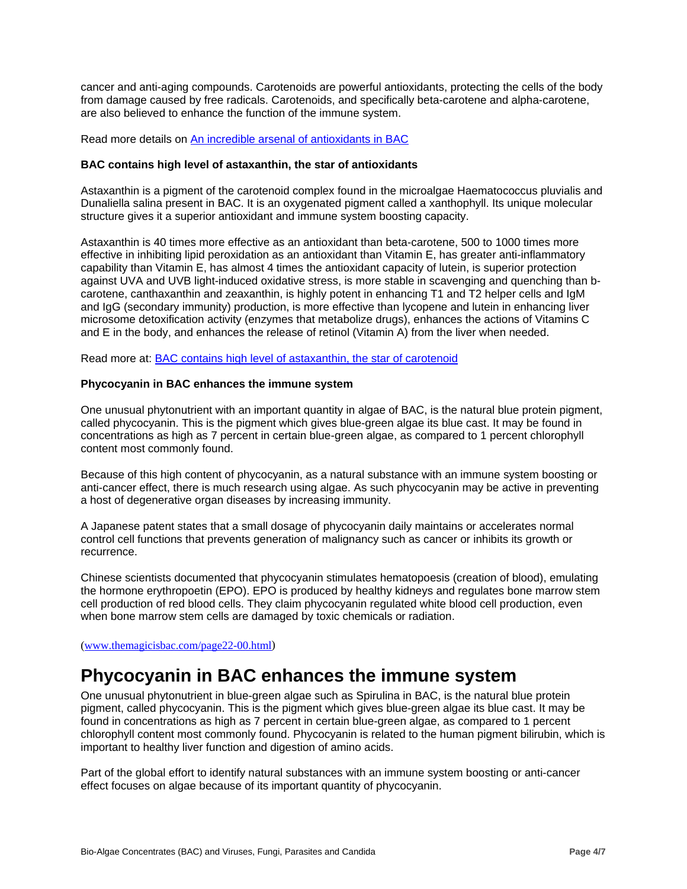cancer and anti-aging compounds. Carotenoids are powerful antioxidants, protecting the cells of the body from damage caused by free radicals. Carotenoids, and specifically beta-carotene and alpha-carotene, are also believed to enhance the function of the immune system.

Read more details on [An incredible arsenal of antioxidants in BAC](http://www.themagicisbac.com/page10-01.html)

#### **BAC contains high level of astaxanthin, the star of antioxidants**

Astaxanthin is a pigment of the carotenoid complex found in the microalgae Haematococcus pluvialis and Dunaliella salina present in BAC. It is an oxygenated pigment called a xanthophyll. Its unique molecular structure gives it a superior antioxidant and immune system boosting capacity.

Astaxanthin is 40 times more effective as an antioxidant than beta-carotene, 500 to 1000 times more effective in inhibiting lipid peroxidation as an antioxidant than Vitamin E, has greater anti-inflammatory capability than Vitamin E, has almost 4 times the antioxidant capacity of lutein, is superior protection against UVA and UVB light-induced oxidative stress, is more stable in scavenging and quenching than bcarotene, canthaxanthin and zeaxanthin, is highly potent in enhancing T1 and T2 helper cells and IgM and IgG (secondary immunity) production, is more effective than lycopene and lutein in enhancing liver microsome detoxification activity (enzymes that metabolize drugs), enhances the actions of Vitamins C and E in the body, and enhances the release of retinol (Vitamin A) from the liver when needed.

Read more at: [BAC contains high level of astaxanthin, the star of carotenoid](http://www.themagicisbac.com/page10-01-02.html)

#### **Phycocyanin in BAC enhances the immune system**

One unusual phytonutrient with an important quantity in algae of BAC, is the natural blue protein pigment, called phycocyanin. This is the pigment which gives blue-green algae its blue cast. It may be found in concentrations as high as 7 percent in certain blue-green algae, as compared to 1 percent chlorophyll content most commonly found.

Because of this high content of phycocyanin, as a natural substance with an immune system boosting or anti-cancer effect, there is much research using algae. As such phycocyanin may be active in preventing a host of degenerative organ diseases by increasing immunity.

A Japanese patent states that a small dosage of phycocyanin daily maintains or accelerates normal control cell functions that prevents generation of malignancy such as cancer or inhibits its growth or recurrence.

Chinese scientists documented that phycocyanin stimulates hematopoesis (creation of blood), emulating the hormone erythropoetin (EPO). EPO is produced by healthy kidneys and regulates bone marrow stem cell production of red blood cells. They claim phycocyanin regulated white blood cell production, even when bone marrow stem cells are damaged by toxic chemicals or radiation.

[\(www.themagicisbac.com/page22-00.html](http://www.themagicisbac.com/page22-00.html))

### **Phycocyanin in BAC enhances the immune system**

One unusual phytonutrient in blue-green algae such as Spirulina in BAC, is the natural blue protein pigment, called phycocyanin. This is the pigment which gives blue-green algae its blue cast. It may be found in concentrations as high as 7 percent in certain blue-green algae, as compared to 1 percent chlorophyll content most commonly found. Phycocyanin is related to the human pigment bilirubin, which is important to healthy liver function and digestion of amino acids.

Part of the global effort to identify natural substances with an immune system boosting or anti-cancer effect focuses on algae because of its important quantity of phycocyanin.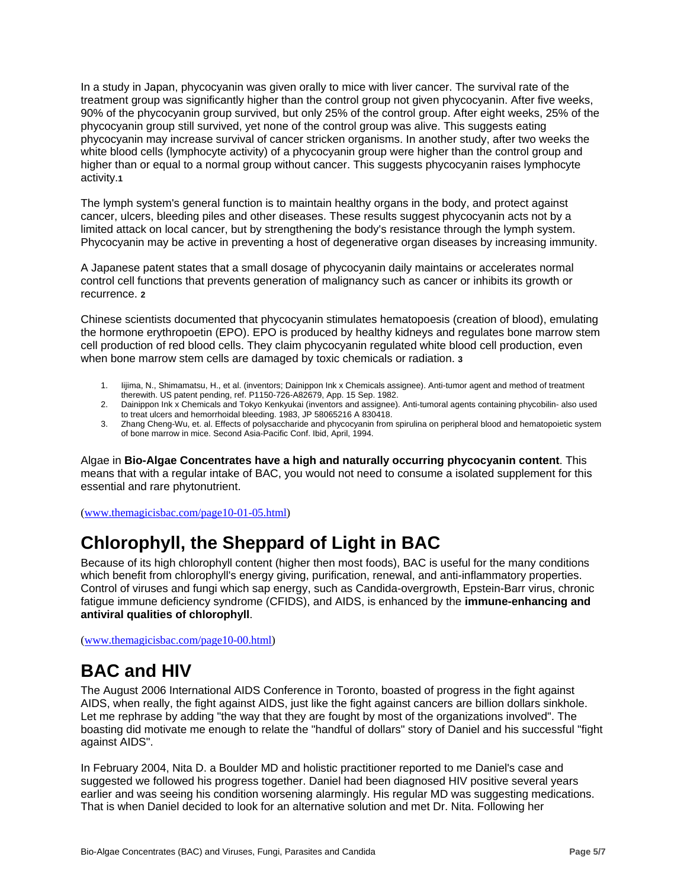In a study in Japan, phycocyanin was given orally to mice with liver cancer. The survival rate of the treatment group was significantly higher than the control group not given phycocyanin. After five weeks, 90% of the phycocyanin group survived, but only 25% of the control group. After eight weeks, 25% of the phycocyanin group still survived, yet none of the control group was alive. This suggests eating phycocyanin may increase survival of cancer stricken organisms. In another study, after two weeks the white blood cells (lymphocyte activity) of a phycocyanin group were higher than the control group and higher than or equal to a normal group without cancer. This suggests phycocyanin raises lymphocyte activity.**1**

The lymph system's general function is to maintain healthy organs in the body, and protect against cancer, ulcers, bleeding piles and other diseases. These results suggest phycocyanin acts not by a limited attack on local cancer, but by strengthening the body's resistance through the lymph system. Phycocyanin may be active in preventing a host of degenerative organ diseases by increasing immunity.

A Japanese patent states that a small dosage of phycocyanin daily maintains or accelerates normal control cell functions that prevents generation of malignancy such as cancer or inhibits its growth or recurrence. **2**

Chinese scientists documented that phycocyanin stimulates hematopoesis (creation of blood), emulating the hormone erythropoetin (EPO). EPO is produced by healthy kidneys and regulates bone marrow stem cell production of red blood cells. They claim phycocyanin regulated white blood cell production, even when bone marrow stem cells are damaged by toxic chemicals or radiation. **3**

- 1. Iijima, N., Shimamatsu, H., et al. (inventors; Dainippon Ink x Chemicals assignee). Anti-tumor agent and method of treatment therewith. US patent pending, ref. P1150-726-A82679, App. 15 Sep. 1982.
- 2. Dainippon Ink x Chemicals and Tokyo Kenkyukai (inventors and assignee). Anti-tumoral agents containing phycobilin- also used to treat ulcers and hemorrhoidal bleeding. 1983, JP 58065216 A 830418.
- 3. Zhang Cheng-Wu, et. al. Effects of polysaccharide and phycocyanin from spirulina on peripheral blood and hematopoietic system of bone marrow in mice. Second Asia-Pacific Conf. Ibid, April, 1994.

Algae in **Bio-Algae Concentrates have a high and naturally occurring phycocyanin content**. This means that with a regular intake of BAC, you would not need to consume a isolated supplement for this essential and rare phytonutrient.

[\(www.themagicisbac.com/page10-01-05.html\)](http://www.themagicisbac.com/page10-01-05.html)

# **Chlorophyll, the Sheppard of Light in BAC**

Because of its high chlorophyll content (higher then most foods), BAC is useful for the many conditions which benefit from chlorophyll's energy giving, purification, renewal, and anti-inflammatory properties. Control of viruses and fungi which sap energy, such as Candida-overgrowth, Epstein-Barr virus, chronic fatigue immune deficiency syndrome (CFIDS), and AIDS, is enhanced by the **immune-enhancing and antiviral qualities of chlorophyll**.

[\(www.themagicisbac.com/page10-00.html](http://www.themagicisbac.com/page10-00.html))

### **BAC and HIV**

The August 2006 International AIDS Conference in Toronto, boasted of progress in the fight against AIDS, when really, the fight against AIDS, just like the fight against cancers are billion dollars sinkhole. Let me rephrase by adding "the way that they are fought by most of the organizations involved". The boasting did motivate me enough to relate the "handful of dollars" story of Daniel and his successful "fight against AIDS".

In February 2004, Nita D. a Boulder MD and holistic practitioner reported to me Daniel's case and suggested we followed his progress together. Daniel had been diagnosed HIV positive several years earlier and was seeing his condition worsening alarmingly. His regular MD was suggesting medications. That is when Daniel decided to look for an alternative solution and met Dr. Nita. Following her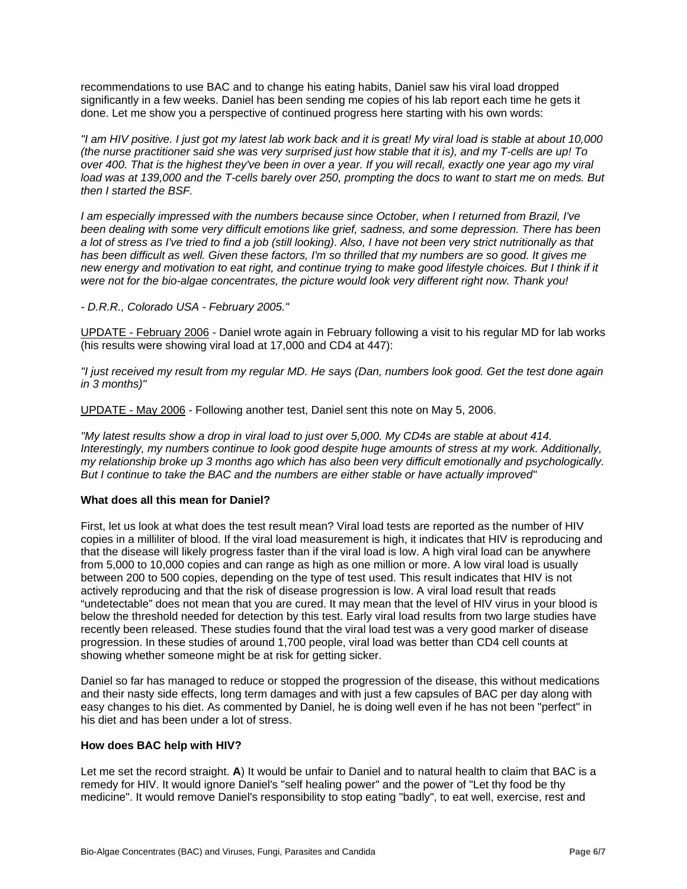recommendations to use BAC and to change his eating habits, Daniel saw his viral load dropped significantly in a few weeks. Daniel has been sending me copies of his lab report each time he gets it done. Let me show you a perspective of continued progress here starting with his own words:

*"I am HIV positive. I just got my latest lab work back and it is great! My viral load is stable at about 10,000 (the nurse practitioner said she was very surprised just how stable that it is), and my T-cells are up! To over 400. That is the highest they've been in over a year. If you will recall, exactly one year ago my viral load was at 139,000 and the T-cells barely over 250, prompting the docs to want to start me on meds. But then I started the BSF.* 

*I am especially impressed with the numbers because since October, when I returned from Brazil, I've been dealing with some very difficult emotions like grief, sadness, and some depression. There has been a lot of stress as I've tried to find a job (still looking). Also, I have not been very strict nutritionally as that*  has been difficult as well. Given these factors, I'm so thrilled that my numbers are so good. It gives me new energy and motivation to eat right, and continue trying to make good lifestyle choices. But I think if it *were not for the bio-algae concentrates, the picture would look very different right now. Thank you!* 

*- D.R.R., Colorado USA - February 2005."*

UPDATE - February 2006 - Daniel wrote again in February following a visit to his regular MD for lab works (his results were showing viral load at 17,000 and CD4 at 447):

*"I just received my result from my regular MD. He says (Dan, numbers look good. Get the test done again in 3 months)"*

UPDATE - May 2006 - Following another test, Daniel sent this note on May 5, 2006.

*"My latest results show a drop in viral load to just over 5,000. My CD4s are stable at about 414. Interestingly, my numbers continue to look good despite huge amounts of stress at my work. Additionally, my relationship broke up 3 months ago which has also been very difficult emotionally and psychologically. But I continue to take the BAC and the numbers are either stable or have actually improved"*

#### **What does all this mean for Daniel?**

First, let us look at what does the test result mean? Viral load tests are reported as the number of HIV copies in a milliliter of blood. If the viral load measurement is high, it indicates that HIV is reproducing and that the disease will likely progress faster than if the viral load is low. A high viral load can be anywhere from 5,000 to 10,000 copies and can range as high as one million or more. A low viral load is usually between 200 to 500 copies, depending on the type of test used. This result indicates that HIV is not actively reproducing and that the risk of disease progression is low. A viral load result that reads "undetectable" does not mean that you are cured. It may mean that the level of HIV virus in your blood is below the threshold needed for detection by this test. Early viral load results from two large studies have recently been released. These studies found that the viral load test was a very good marker of disease progression. In these studies of around 1,700 people, viral load was better than CD4 cell counts at showing whether someone might be at risk for getting sicker.

Daniel so far has managed to reduce or stopped the progression of the disease, this without medications and their nasty side effects, long term damages and with just a few capsules of BAC per day along with easy changes to his diet. As commented by Daniel, he is doing well even if he has not been "perfect" in his diet and has been under a lot of stress.

#### **How does BAC help with HIV?**

Let me set the record straight. **A**) It would be unfair to Daniel and to natural health to claim that BAC is a remedy for HIV. It would ignore Daniel's "self healing power" and the power of "Let thy food be thy medicine". It would remove Daniel's responsibility to stop eating "badly", to eat well, exercise, rest and